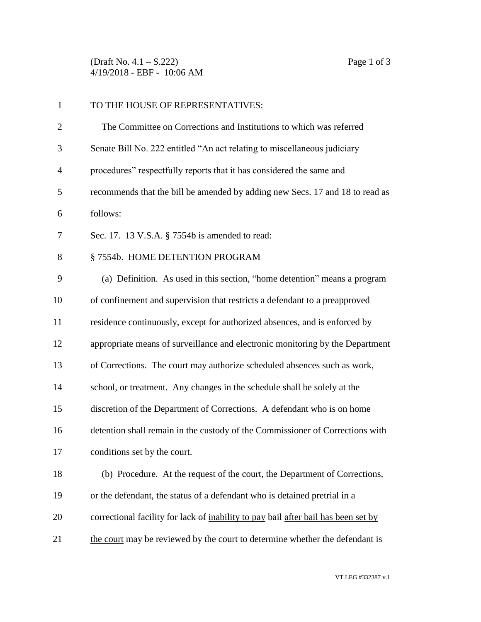(Draft No. 4.1 – S.222) Page 1 of 3 4/19/2018 - EBF - 10:06 AM

| $\mathbf{1}$   | TO THE HOUSE OF REPRESENTATIVES:                                                   |
|----------------|------------------------------------------------------------------------------------|
| $\overline{2}$ | The Committee on Corrections and Institutions to which was referred                |
| 3              | Senate Bill No. 222 entitled "An act relating to miscellaneous judiciary           |
| $\overline{4}$ | procedures" respectfully reports that it has considered the same and               |
| 5              | recommends that the bill be amended by adding new Secs. 17 and 18 to read as       |
| 6              | follows:                                                                           |
| 7              | Sec. 17. 13 V.S.A. § 7554b is amended to read:                                     |
| 8              | §7554b. HOME DETENTION PROGRAM                                                     |
| 9              | (a) Definition. As used in this section, "home detention" means a program          |
| 10             | of confinement and supervision that restricts a defendant to a preapproved         |
| 11             | residence continuously, except for authorized absences, and is enforced by         |
| 12             | appropriate means of surveillance and electronic monitoring by the Department      |
| 13             | of Corrections. The court may authorize scheduled absences such as work,           |
| 14             | school, or treatment. Any changes in the schedule shall be solely at the           |
| 15             | discretion of the Department of Corrections. A defendant who is on home            |
| 16             | detention shall remain in the custody of the Commissioner of Corrections with      |
| 17             | conditions set by the court.                                                       |
| 18             | (b) Procedure. At the request of the court, the Department of Corrections,         |
| 19             | or the defendant, the status of a defendant who is detained pretrial in a          |
| 20             | correctional facility for lack of inability to pay bail after bail has been set by |
| 21             | the court may be reviewed by the court to determine whether the defendant is       |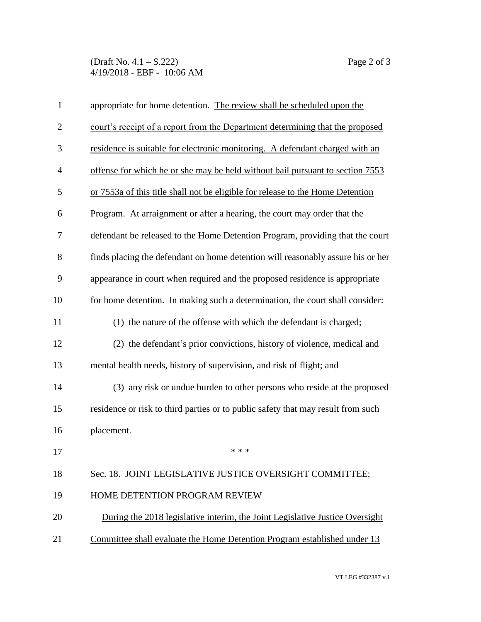(Draft No. 4.1 – S.222) Page 2 of 3 4/19/2018 - EBF - 10:06 AM

| $\mathbf{1}$   | appropriate for home detention. The review shall be scheduled upon the           |
|----------------|----------------------------------------------------------------------------------|
| $\mathbf{2}$   | court's receipt of a report from the Department determining that the proposed    |
| $\mathfrak{Z}$ | residence is suitable for electronic monitoring. A defendant charged with an     |
| $\overline{4}$ | offense for which he or she may be held without bail pursuant to section 7553    |
| 5              | or 7553a of this title shall not be eligible for release to the Home Detention   |
| 6              | Program. At arraignment or after a hearing, the court may order that the         |
| 7              | defendant be released to the Home Detention Program, providing that the court    |
| 8              | finds placing the defendant on home detention will reasonably assure his or her  |
| 9              | appearance in court when required and the proposed residence is appropriate      |
| 10             | for home detention. In making such a determination, the court shall consider:    |
| 11             | (1) the nature of the offense with which the defendant is charged;               |
| 12             | (2) the defendant's prior convictions, history of violence, medical and          |
| 13             | mental health needs, history of supervision, and risk of flight; and             |
| 14             | (3) any risk or undue burden to other persons who reside at the proposed         |
| 15             | residence or risk to third parties or to public safety that may result from such |
| 16             | placement.                                                                       |
| 17             | * * *                                                                            |
| 18             | Sec. 18. JOINT LEGISLATIVE JUSTICE OVERSIGHT COMMITTEE;                          |
| 19             | HOME DETENTION PROGRAM REVIEW                                                    |
| 20             | During the 2018 legislative interim, the Joint Legislative Justice Oversight     |
| 21             | Committee shall evaluate the Home Detention Program established under 13         |